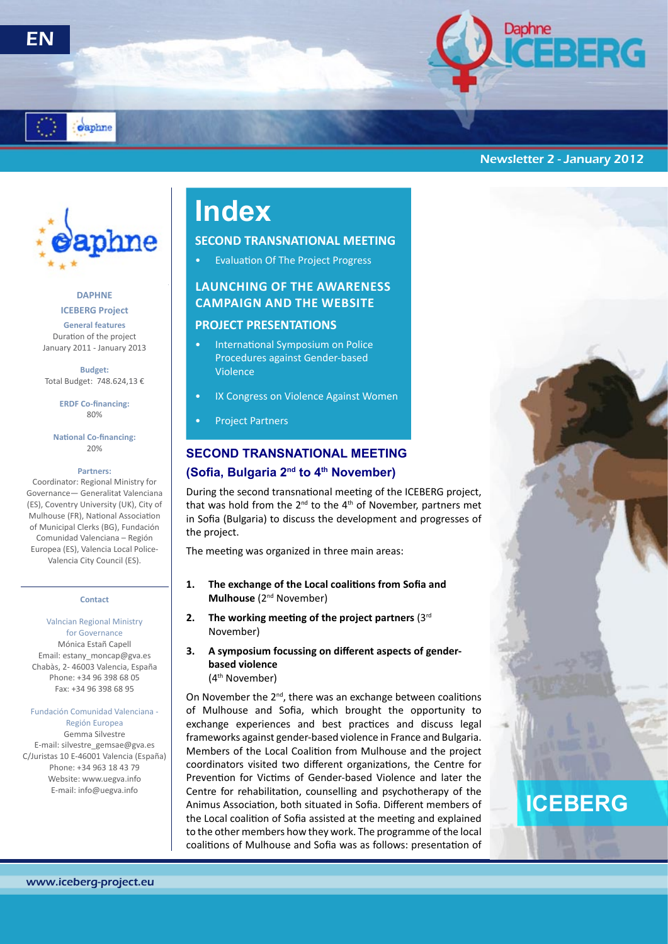





## Newsletter 2 - January 2012



## **ICEBERG Project DAPHNE**

**General features** Duration of the project January 2011 - January 2013

**Budget:** Total Budget: 748.624,13 €

> **ERDF Co-financing:** 80%

**National Co-financing:** 20%

### **Partners:**

Coordinator: Regional Ministry for Governance— Generalitat Valenciana (ES), Coventry University (UK), City of Mulhouse (FR), National Association of Municipal Clerks (BG), Fundación Comunidad Valenciana – Región Europea (ES), Valencia Local Police-Valencia City Council (ES).

#### **Contact**

Valncian Regional Ministry for Governance Mónica Estañ Capell Email: estany\_moncap@gva.es Chabàs, 2- 46003 Valencia, España Phone: +34 96 398 68 05 Fax: +34 96 398 68 95

#### Fundación Comunidad Valenciana - Región Europea

Gemma Silvestre E-mail: silvestre\_gemsae@gva.es C/Juristas 10 E-46001 Valencia (España) Phone: +34 963 18 43 79 Website: www.uegva.info E-mail: info@uegva.info

# **Index**

## **SECOND TRANSNATIONAL MEETING**

• Evaluation Of The Project Progress

## **Launching Of The Awareness CampaIgn And The Website**

## **PROJECT PRESENTATIONS**

- International Symposium on Police Procedures against Gender-based Violence
- IX Congress on Violence Against Women
- Project Partners

## **SECOND TRANSNATIONAL MEETING (Sofia, Bulgaria 2nd to 4th November)**

During the second transnational meeting of the ICEBERG project, that was hold from the  $2^{nd}$  to the  $4^{th}$  of November, partners met in Sofia (Bulgaria) to discuss the development and progresses of the project.

The meeting was organized in three main areas:

- **1. The exchange of the Local coalitions from Sofia and Mulhouse** (2<sup>nd</sup> November)
- **2. The working meeting of the project partners** (3rd November)
- **3. A symposium focussing on different aspects of genderbased violence** (4th November)

On November the 2<sup>nd</sup>, there was an exchange between coalitions of Mulhouse and Sofia, which brought the opportunity to exchange experiences and best practices and discuss legal frameworks against gender-based violence in France and Bulgaria. Members of the Local Coalition from Mulhouse and the project coordinators visited two different organizations, the Centre for Prevention for Victims of Gender-based Violence and later the Centre for rehabilitation, counselling and psychotherapy of the Animus Association, both situated in Sofia. Different members of the Local coalition of Sofia assisted at the meeting and explained to the other members how they work. The programme of the local coalitions of Mulhouse and Sofia was as follows: presentation of

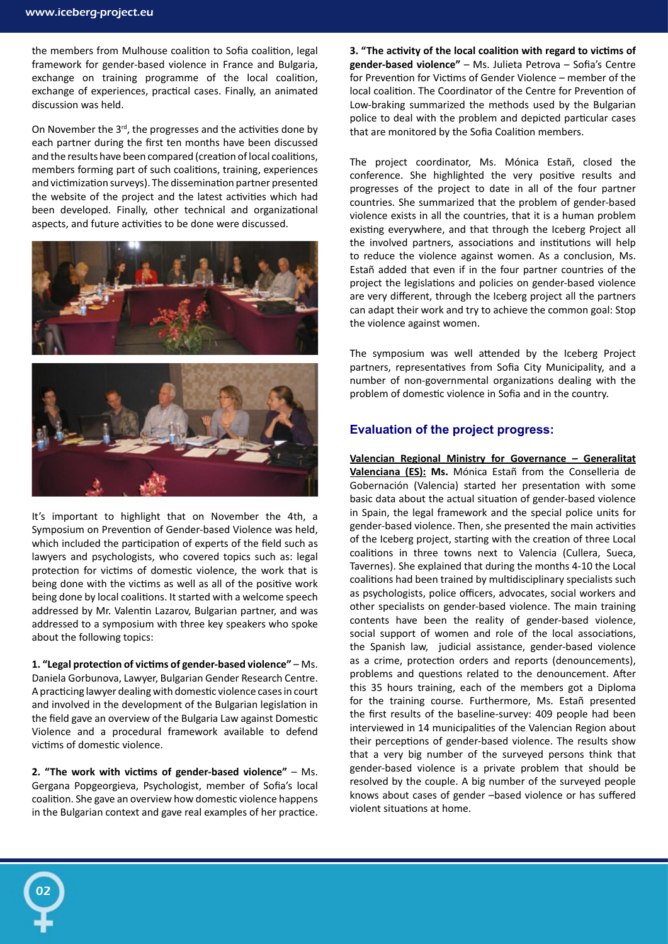the members from Mulhouse coalition to Sofia coalition, legal framework for gender-based violence in France and Bulgaria, exchange on training programme of the local coalition, exchange of experiences, practical cases. Finally, an animated discussion was held.

On November the  $3<sup>rd</sup>$ , the progresses and the activities done by each partner during the first ten months have been discussed and the results have been compared (creation of local coalitions, members forming part of such coalitions, training, experiences and victimization surveys). The dissemination partner presented the website of the project and the latest activities which had been developed. Finally, other technical and organizational aspects, and future activities to be done were discussed.



It's important to highlight that on November the 4th, a Symposium on Prevention of Gender-based Violence was held, which included the participation of experts of the field such as lawyers and psychologists, who covered topics such as: legal protection for victims of domestic violence, the work that is being done with the victims as well as all of the positive work being done by local coalitions. It started with a welcome speech addressed by Mr. Valentin Lazarov, Bulgarian partner, and was addressed to a symposium with three key speakers who spoke about the following topics:

**1. "Legal protection of victims of gender-based violence"** – Ms. Daniela Gorbunova, Lawyer, Bulgarian Gender Research Centre. A practicing lawyer dealing with domestic violence cases in court and involved in the development of the Bulgarian legislation in the field gave an overview of the Bulgaria Law against Domestic Violence and a procedural framework available to defend victims of domestic violence.

**2. "The work with victims of gender-based violence"** – Ms. Gergana Popgeorgieva, Psychologist, member of Sofia's local coalition. She gave an overview how domestic violence happens in the Bulgarian context and gave real examples of her practice.

02

**3. "The activity of the local coalition with regard to victims of gender-based violence"** – Ms. Julieta Petrova – Sofia's Centre for Prevention for Victims of Gender Violence – member of the local coalition. The Coordinator of the Centre for Prevention of Low-braking summarized the methods used by the Bulgarian police to deal with the problem and depicted particular cases that are monitored by the Sofia Coalition members.

The project coordinator, Ms. Mónica Estañ, closed the conference. She highlighted the very positive results and progresses of the project to date in all of the four partner countries. She summarized that the problem of gender-based violence exists in all the countries, that it is a human problem existing everywhere, and that through the Iceberg Project all the involved partners, associations and institutions will help to reduce the violence against women. As a conclusion, Ms. Estañ added that even if in the four partner countries of the project the legislations and policies on gender-based violence are very different, through the Iceberg project all the partners can adapt their work and try to achieve the common goal: Stop the violence against women.

The symposium was well attended by the Iceberg Project partners, representatives from Sofia City Municipality, and a number of non-governmental organizations dealing with the problem of domestic violence in Sofia and in the country.

## **Evaluation of the project progress:**

**Valencian Regional Ministry for Governance – Generalitat Valenciana (ES): Ms.** Mónica Estañ from the Conselleria de Gobernación (Valencia) started her presentation with some basic data about the actual situation of gender-based violence in Spain, the legal framework and the special police units for gender-based violence. Then, she presented the main activities of the Iceberg project, starting with the creation of three Local coalitions in three towns next to Valencia (Cullera, Sueca, Tavernes). She explained that during the months 4-10 the Local coalitions had been trained by multidisciplinary specialists such as psychologists, police officers, advocates, social workers and other specialists on gender-based violence. The main training contents have been the reality of gender-based violence, social support of women and role of the local associations, the Spanish law, judicial assistance, gender-based violence as a crime, protection orders and reports (denouncements), problems and questions related to the denouncement. After this 35 hours training, each of the members got a Diploma for the training course. Furthermore, Ms. Estañ presented the first results of the baseline-survey: 409 people had been interviewed in 14 municipalities of the Valencian Region about their perceptions of gender-based violence. The results show that a very big number of the surveyed persons think that gender-based violence is a private problem that should be resolved by the couple. A big number of the surveyed people knows about cases of gender –based violence or has suffered violent situations at home.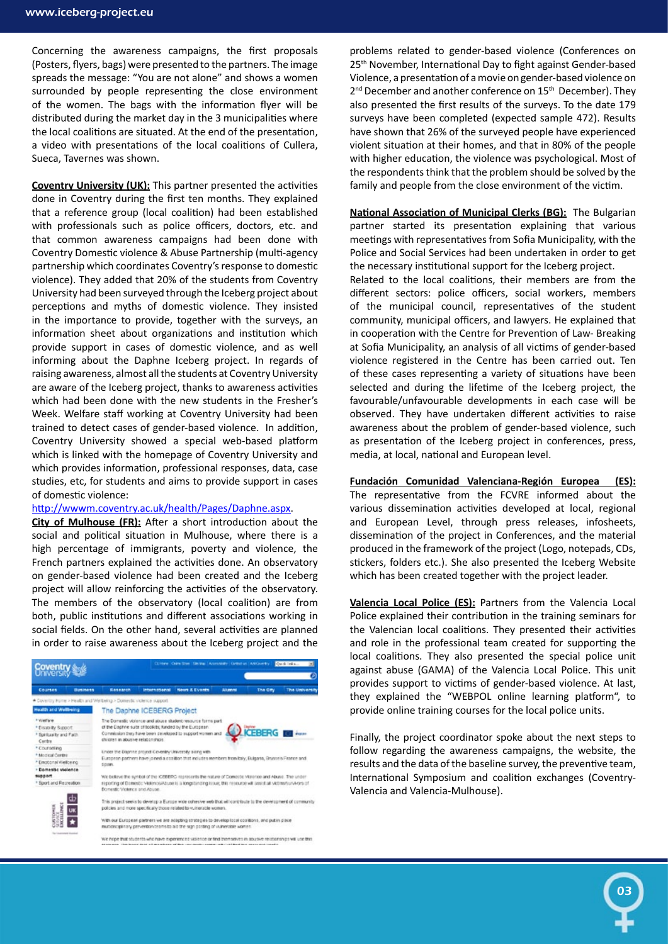Concerning the awareness campaigns, the first proposals (Posters, flyers, bags) were presented to the partners. The image spreads the message: "You are not alone" and shows a women surrounded by people representing the close environment of the women. The bags with the information flyer will be distributed during the market day in the 3 municipalities where the local coalitions are situated. At the end of the presentation, a video with presentations of the local coalitions of Cullera, Sueca, Tavernes was shown.

**Coventry University (UK):** This partner presented the activities done in Coventry during the first ten months. They explained that a reference group (local coalition) had been established with professionals such as police officers, doctors, etc. and that common awareness campaigns had been done with Coventry Domestic violence & Abuse Partnership (multi-agency partnership which coordinates Coventry's response to domestic violence). They added that 20% of the students from Coventry University had been surveyed through the Iceberg project about perceptions and myths of domestic violence. They insisted in the importance to provide, together with the surveys, an information sheet about organizations and institution which provide support in cases of domestic violence, and as well informing about the Daphne Iceberg project. In regards of raising awareness, almost all the students at Coventry University are aware of the Iceberg project, thanks to awareness activities which had been done with the new students in the Fresher's Week. Welfare staff working at Coventry University had been trained to detect cases of gender-based violence. In addition, Coventry University showed a special web-based platform which is linked with the homepage of Coventry University and which provides information, professional responses, data, case studies, etc, for students and aims to provide support in cases of domestic violence:

### http://wwwm.coventry.ac.uk/health/Pages/Daphne.aspx.

**City of Mulhouse (FR):** After a short introduction about the social and political situation in Mulhouse, where there is a high percentage of immigrants, poverty and violence, the French partners explained the activities done. An observatory on gender-based violence had been created and the Iceberg project will allow reinforcing the activities of the observatory. The members of the observatory (local coalition) are from both, public institutions and different associations working in social fields. On the other hand, several activities are planned in order to raise awareness about the Iceberg project and the



problems related to gender-based violence (Conferences on 25<sup>th</sup> November, International Day to fight against Gender-based Violence, a presentation of a movie on gender-based violence on 2<sup>nd</sup> December and another conference on 15<sup>th</sup> December). They also presented the first results of the surveys. To the date 179 surveys have been completed (expected sample 472). Results have shown that 26% of the surveyed people have experienced violent situation at their homes, and that in 80% of the people with higher education, the violence was psychological. Most of the respondents think that the problem should be solved by the family and people from the close environment of the victim.

**National Association of Municipal Clerks (BG):** The Bulgarian partner started its presentation explaining that various meetings with representatives from Sofia Municipality, with the Police and Social Services had been undertaken in order to get the necessary institutional support for the Iceberg project.

Related to the local coalitions, their members are from the different sectors: police officers, social workers, members of the municipal council, representatives of the student community, municipal officers, and lawyers. He explained that in cooperation with the Centre for Prevention of Law- Breaking at Sofia Municipality, an analysis of all victims of gender-based violence registered in the Centre has been carried out. Ten of these cases representing a variety of situations have been selected and during the lifetime of the Iceberg project, the favourable/unfavourable developments in each case will be observed. They have undertaken different activities to raise awareness about the problem of gender-based violence, such as presentation of the Iceberg project in conferences, press, media, at local, national and European level.

## **Fundación Comunidad Valenciana-Región Europea (ES):** The representative from the FCVRE informed about the various dissemination activities developed at local, regional and European Level, through press releases, infosheets, dissemination of the project in Conferences, and the material produced in the framework of the project (Logo, notepads, CDs, stickers, folders etc.). She also presented the Iceberg Website which has been created together with the project leader.

**Valencia Local Police (ES):** Partners from the Valencia Local Police explained their contribution in the training seminars for the Valencian local coalitions. They presented their activities and role in the professional team created for supporting the local coalitions. They also presented the special police unit against abuse (GAMA) of the Valencia Local Police. This unit provides support to victims of gender-based violence. At last, they explained the "WEBPOL online learning platform", to provide online training courses for the local police units.

Finally, the project coordinator spoke about the next steps to follow regarding the awareness campaigns, the website, the results and the data of the baseline survey, the preventive team, International Symposium and coalition exchanges (Coventry-Valencia and Valencia-Mulhouse).

03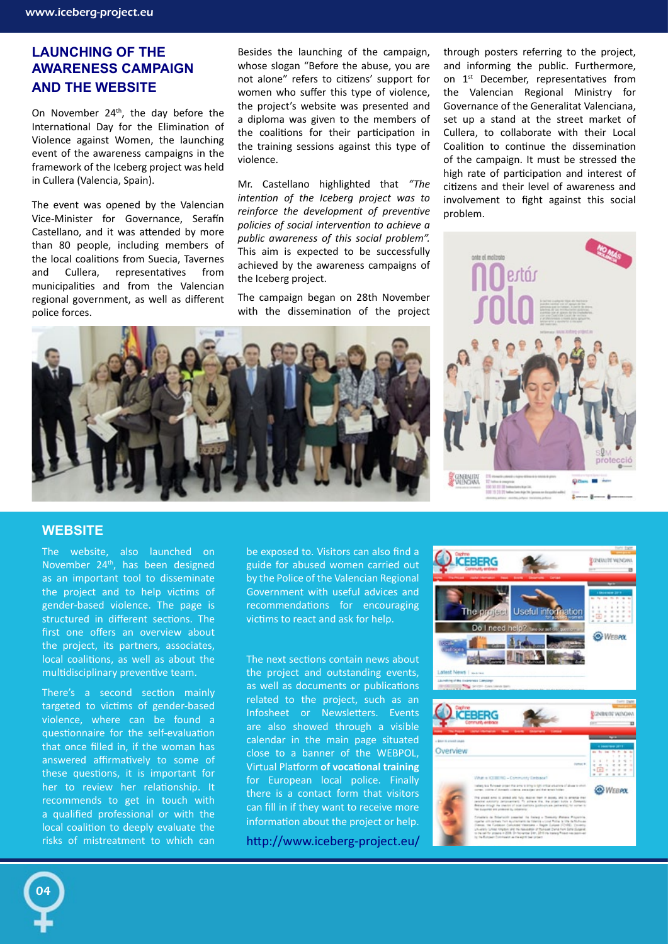## **Launching of the Awareness Campaign and the website**

On November  $24<sup>th</sup>$ , the day before the International Day for the Elimination of Violence against Women, the launching event of the awareness campaigns in the framework of the Iceberg project was held in Cullera (Valencia, Spain).

The event was opened by the Valencian Vice-Minister for Governance, Serafín Castellano, and it was attended by more than 80 people, including members of the local coalitions from Suecia, Tavernes and Cullera, representatives from municipalities and from the Valencian regional government, as well as different police forces.

Besides the launching of the campaign, whose slogan "Before the abuse, you are not alone" refers to citizens' support for women who suffer this type of violence, the project's website was presented and a diploma was given to the members of the coalitions for their participation in the training sessions against this type of violence.

Mr. Castellano highlighted that *"The intention of the Iceberg project was to reinforce the development of preventive policies of social intervention to achieve a public awareness of this social problem".*  This aim is expected to be successfully achieved by the awareness campaigns of the Iceberg project.

The campaign began on 28th November with the dissemination of the project

through posters referring to the project, and informing the public. Furthermore, on 1<sup>st</sup> December, representatives from the Valencian Regional Ministry for Governance of the Generalitat Valenciana, set up a stand at the street market of Cullera, to collaborate with their Local Coalition to continue the dissemination of the campaign. It must be stressed the high rate of participation and interest of citizens and their level of awareness and involvement to fight against this social problem.



## **WEBSITE**

04

The website, also launched on November 24th, has been designed as an important tool to disseminate the project and to help victims of gender-based violence. The page is structured in different sections. The first one offers an overview about the project, its partners, associates, local coalitions, as well as about the multidisciplinary preventive team.

There's a second section mainly targeted to victims of gender-based violence, where can be found a questionnaire for the self-evaluation that once filled in, if the woman has answered affirmatively to some of these questions, it is important for her to review her relationship. It recommends to get in touch with a qualified professional or with the local coalition to deeply evaluate the risks of mistreatment to which can be exposed to. Visitors can also find a guide for abused women carried out by the Police of the Valencian Regional Government with useful advices and recommendations for encouraging victims to react and ask for help.

The next sections contain news about the project and outstanding events, as well as documents or publications related to the project, such as an Infosheet or Newsletters. Events are also showed through a visible calendar in the main page situated close to a banner of the WEBPOL, Virtual Platform **of vocational training** for European local police. Finally there is a contact form that visitors can fill in if they want to receive more information about the project or help.

http://www.iceberg-project.eu/

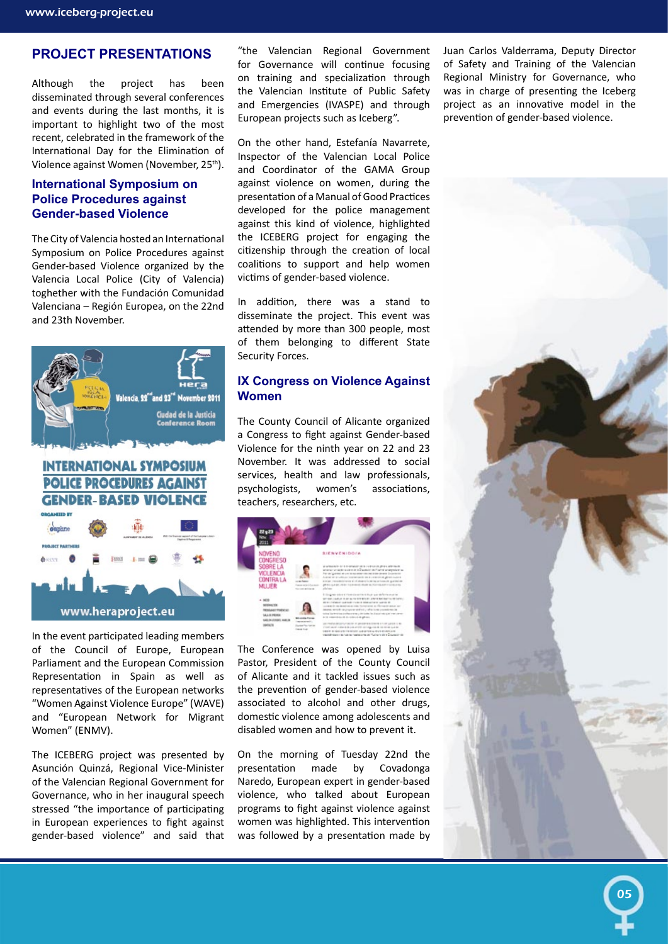## **PROJECT PRESENTATIONS**

Although the project has been disseminated through several conferences and events during the last months, it is important to highlight two of the most recent, celebrated in the framework of the International Day for the Elimination of Violence against Women (November, 25th).

## **International Symposium on Police Procedures against Gender-based Violence**

The City of Valencia hosted an International Symposium on Police Procedures against Gender-based Violence organized by the Valencia Local Police (City of Valencia) toghether with the Fundación Comunidad Valenciana – Región Europea, on the 22nd and 23th November.



## **INTERNATIONAL SYMPOSIUM POLICE PROCEDURES AGAINST GENDER-BASED VIOLENCE**



In the event participated leading members of the Council of Europe, European Parliament and the European Commission Representation in Spain as well as representatives of the European networks "Women Against Violence Europe" (WAVE) and "European Network for Migrant Women" (ENMV).

The ICEBERG project was presented by Asunción Quinzá, Regional Vice-Minister of the Valencian Regional Government for Governance, who in her inaugural speech stressed "the importance of participating in European experiences to fight against gender-based violence" and said that

"the Valencian Regional Government for Governance will continue focusing on training and specialization through the Valencian Institute of Public Safety and Emergencies (IVASPE) and through European projects such as Iceberg".

On the other hand, Estefanía Navarrete, Inspector of the Valencian Local Police and Coordinator of the GAMA Group against violence on women, during the presentation of a Manual of Good Practices developed for the police management against this kind of violence, highlighted the ICEBERG project for engaging the citizenship through the creation of local coalitions to support and help women victims of gender-based violence.

In addition, there was a stand to disseminate the project. This event was attended by more than 300 people, most of them belonging to different State Security Forces.

## **IX Congress on Violence Against Women**

The County Council of Alicante organized a Congress to fight against Gender-based Violence for the ninth year on 22 and 23 November. It was addressed to social services, health and law professionals, psychologists, women's associations, teachers, researchers, etc.



The Conference was opened by Luisa Pastor, President of the County Council of Alicante and it tackled issues such as the prevention of gender-based violence associated to alcohol and other drugs, domestic violence among adolescents and disabled women and how to prevent it.

On the morning of Tuesday 22nd the presentation made by Covadonga Naredo, European expert in gender-based violence, who talked about European programs to fight against violence against women was highlighted. This intervention was followed by a presentation made by Juan Carlos Valderrama, Deputy Director of Safety and Training of the Valencian Regional Ministry for Governance, who was in charge of presenting the Iceberg project as an innovative model in the prevention of gender-based violence.



05